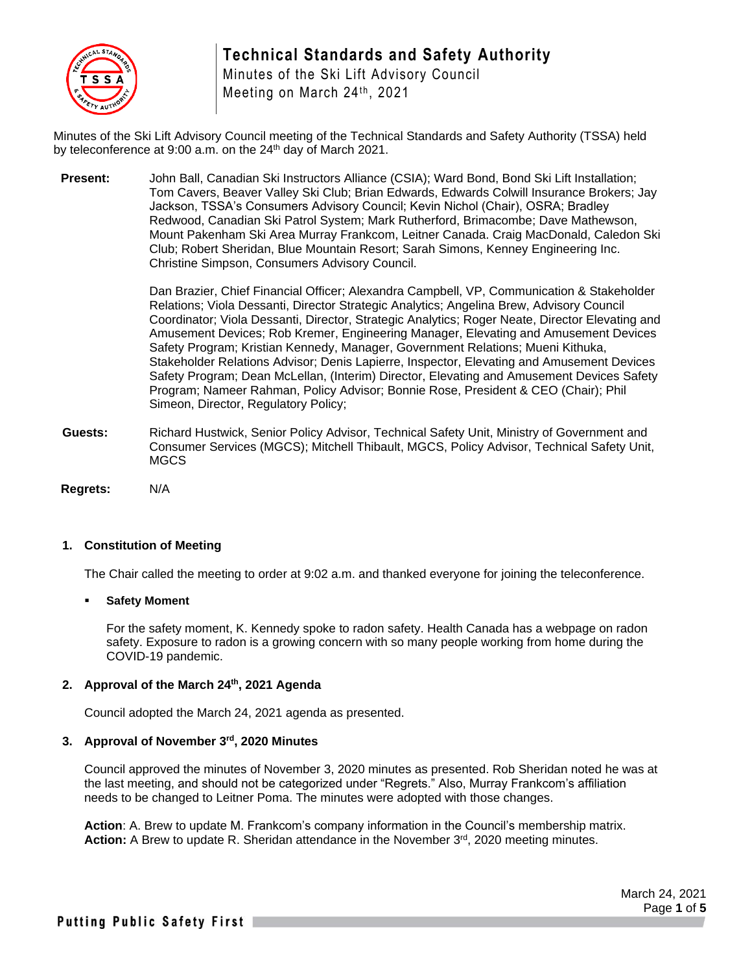

# **Technical Standards and Safety Authority**

Minutes of the Ski Lift Advisory Council Meeting on March 24<sup>th</sup>, 2021

Minutes of the Ski Lift Advisory Council meeting of the Technical Standards and Safety Authority (TSSA) held by teleconference at  $9:00$  a.m. on the  $24<sup>th</sup>$  day of March 2021.

**Present:** John Ball, Canadian Ski Instructors Alliance (CSIA); Ward Bond, Bond Ski Lift Installation; Tom Cavers, Beaver Valley Ski Club; Brian Edwards, Edwards Colwill Insurance Brokers; Jay Jackson, TSSA's Consumers Advisory Council; Kevin Nichol (Chair), OSRA; Bradley Redwood, Canadian Ski Patrol System; Mark Rutherford, Brimacombe; Dave Mathewson, Mount Pakenham Ski Area Murray Frankcom, Leitner Canada. Craig MacDonald, Caledon Ski Club; Robert Sheridan, Blue Mountain Resort; Sarah Simons, Kenney Engineering Inc. Christine Simpson, Consumers Advisory Council.

> Dan Brazier, Chief Financial Officer; Alexandra Campbell, VP, Communication & Stakeholder Relations; Viola Dessanti, Director Strategic Analytics; Angelina Brew, Advisory Council Coordinator; Viola Dessanti, Director, Strategic Analytics; Roger Neate, Director Elevating and Amusement Devices; Rob Kremer, Engineering Manager, Elevating and Amusement Devices Safety Program; Kristian Kennedy, Manager, Government Relations; Mueni Kithuka, Stakeholder Relations Advisor; Denis Lapierre, Inspector, Elevating and Amusement Devices Safety Program; Dean McLellan, (Interim) Director, Elevating and Amusement Devices Safety Program; Nameer Rahman, Policy Advisor; Bonnie Rose, President & CEO (Chair); Phil Simeon, Director, Regulatory Policy;

- **Guests:** Richard Hustwick, Senior Policy Advisor, Technical Safety Unit, Ministry of Government and Consumer Services (MGCS); Mitchell Thibault, MGCS, Policy Advisor, Technical Safety Unit, MGCS
- **Regrets:** N/A

## **1. Constitution of Meeting**

The Chair called the meeting to order at 9:02 a.m. and thanked everyone for joining the teleconference.

#### **Safety Moment**

For the safety moment, K. Kennedy spoke to radon safety. Health Canada has a webpage on radon safety. Exposure to radon is a growing concern with so many people working from home during the COVID-19 pandemic.

# **2. Approval of the March 24th, 2021 Agenda**

Council adopted the March 24, 2021 agenda as presented.

#### **3. Approval of November 3rd , 2020 Minutes**

Council approved the minutes of November 3, 2020 minutes as presented. Rob Sheridan noted he was at the last meeting, and should not be categorized under "Regrets." Also, Murray Frankcom's affiliation needs to be changed to Leitner Poma. The minutes were adopted with those changes.

**Action**: A. Brew to update M. Frankcom's company information in the Council's membership matrix. Action: A Brew to update R. Sheridan attendance in the November 3<sup>rd</sup>, 2020 meeting minutes.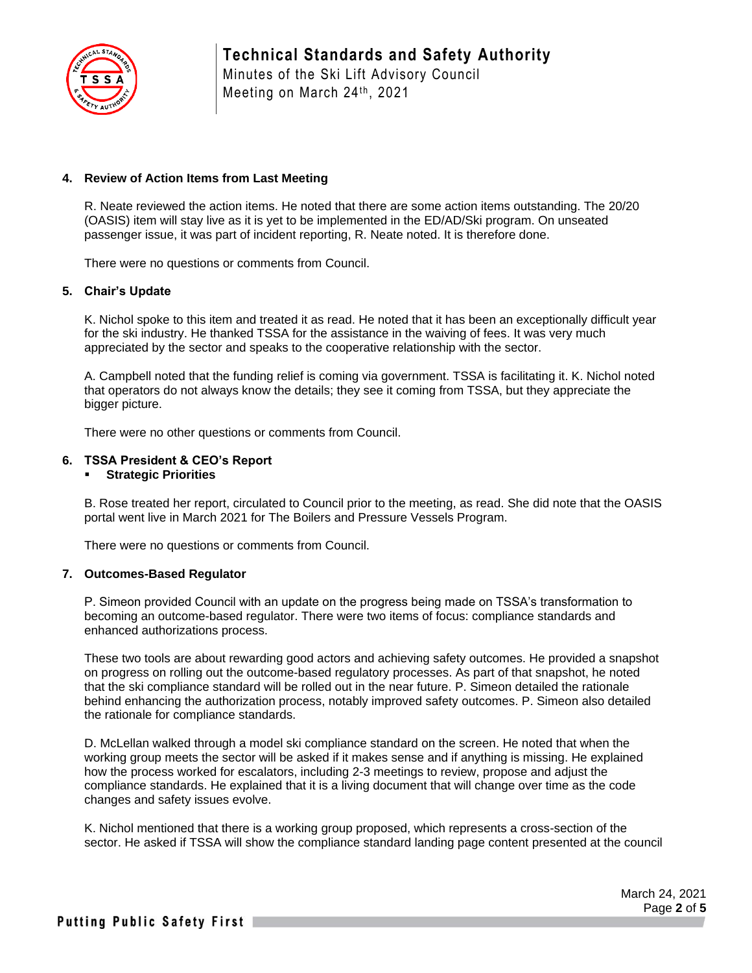

## **4. Review of Action Items from Last Meeting**

R. Neate reviewed the action items. He noted that there are some action items outstanding. The 20/20 (OASIS) item will stay live as it is yet to be implemented in the ED/AD/Ski program. On unseated passenger issue, it was part of incident reporting, R. Neate noted. It is therefore done.

There were no questions or comments from Council.

#### **5. Chair's Update**

K. Nichol spoke to this item and treated it as read. He noted that it has been an exceptionally difficult year for the ski industry. He thanked TSSA for the assistance in the waiving of fees. It was very much appreciated by the sector and speaks to the cooperative relationship with the sector.

A. Campbell noted that the funding relief is coming via government. TSSA is facilitating it. K. Nichol noted that operators do not always know the details; they see it coming from TSSA, but they appreciate the bigger picture.

There were no other questions or comments from Council.

#### **6. TSSA President & CEO's Report**

#### ▪ **Strategic Priorities**

B. Rose treated her report, circulated to Council prior to the meeting, as read. She did note that the OASIS portal went live in March 2021 for The Boilers and Pressure Vessels Program.

There were no questions or comments from Council.

#### **7. Outcomes-Based Regulator**

P. Simeon provided Council with an update on the progress being made on TSSA's transformation to becoming an outcome-based regulator. There were two items of focus: compliance standards and enhanced authorizations process.

These two tools are about rewarding good actors and achieving safety outcomes. He provided a snapshot on progress on rolling out the outcome-based regulatory processes. As part of that snapshot, he noted that the ski compliance standard will be rolled out in the near future. P. Simeon detailed the rationale behind enhancing the authorization process, notably improved safety outcomes. P. Simeon also detailed the rationale for compliance standards.

D. McLellan walked through a model ski compliance standard on the screen. He noted that when the working group meets the sector will be asked if it makes sense and if anything is missing. He explained how the process worked for escalators, including 2-3 meetings to review, propose and adjust the compliance standards. He explained that it is a living document that will change over time as the code changes and safety issues evolve.

K. Nichol mentioned that there is a working group proposed, which represents a cross-section of the sector. He asked if TSSA will show the compliance standard landing page content presented at the council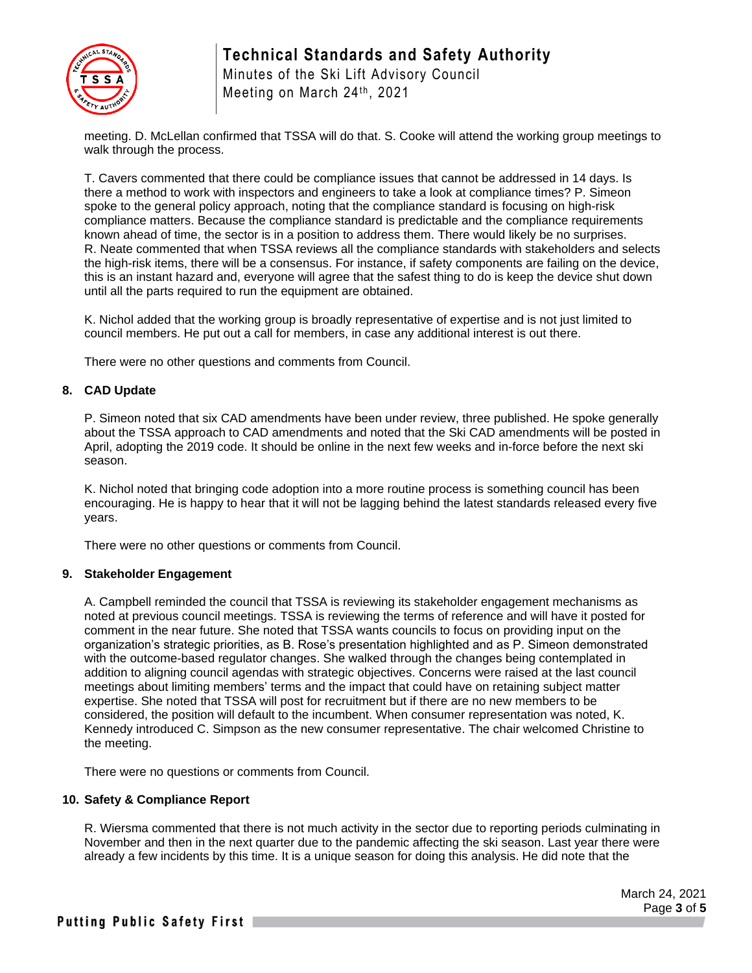

# **Technical Standards and Safety Authority**

Minutes of the Ski Lift Advisory Council Meeting on March 24<sup>th</sup>, 2021

meeting. D. McLellan confirmed that TSSA will do that. S. Cooke will attend the working group meetings to walk through the process.

T. Cavers commented that there could be compliance issues that cannot be addressed in 14 days. Is there a method to work with inspectors and engineers to take a look at compliance times? P. Simeon spoke to the general policy approach, noting that the compliance standard is focusing on high-risk compliance matters. Because the compliance standard is predictable and the compliance requirements known ahead of time, the sector is in a position to address them. There would likely be no surprises. R. Neate commented that when TSSA reviews all the compliance standards with stakeholders and selects the high-risk items, there will be a consensus. For instance, if safety components are failing on the device, this is an instant hazard and, everyone will agree that the safest thing to do is keep the device shut down until all the parts required to run the equipment are obtained.

K. Nichol added that the working group is broadly representative of expertise and is not just limited to council members. He put out a call for members, in case any additional interest is out there.

There were no other questions and comments from Council.

## **8. CAD Update**

P. Simeon noted that six CAD amendments have been under review, three published. He spoke generally about the TSSA approach to CAD amendments and noted that the Ski CAD amendments will be posted in April, adopting the 2019 code. It should be online in the next few weeks and in-force before the next ski season.

K. Nichol noted that bringing code adoption into a more routine process is something council has been encouraging. He is happy to hear that it will not be lagging behind the latest standards released every five years.

There were no other questions or comments from Council.

#### **9. Stakeholder Engagement**

A. Campbell reminded the council that TSSA is reviewing its stakeholder engagement mechanisms as noted at previous council meetings. TSSA is reviewing the terms of reference and will have it posted for comment in the near future. She noted that TSSA wants councils to focus on providing input on the organization's strategic priorities, as B. Rose's presentation highlighted and as P. Simeon demonstrated with the outcome-based regulator changes. She walked through the changes being contemplated in addition to aligning council agendas with strategic objectives. Concerns were raised at the last council meetings about limiting members' terms and the impact that could have on retaining subject matter expertise. She noted that TSSA will post for recruitment but if there are no new members to be considered, the position will default to the incumbent. When consumer representation was noted, K. Kennedy introduced C. Simpson as the new consumer representative. The chair welcomed Christine to the meeting.

There were no questions or comments from Council.

# **10. Safety & Compliance Report**

R. Wiersma commented that there is not much activity in the sector due to reporting periods culminating in November and then in the next quarter due to the pandemic affecting the ski season. Last year there were already a few incidents by this time. It is a unique season for doing this analysis. He did note that the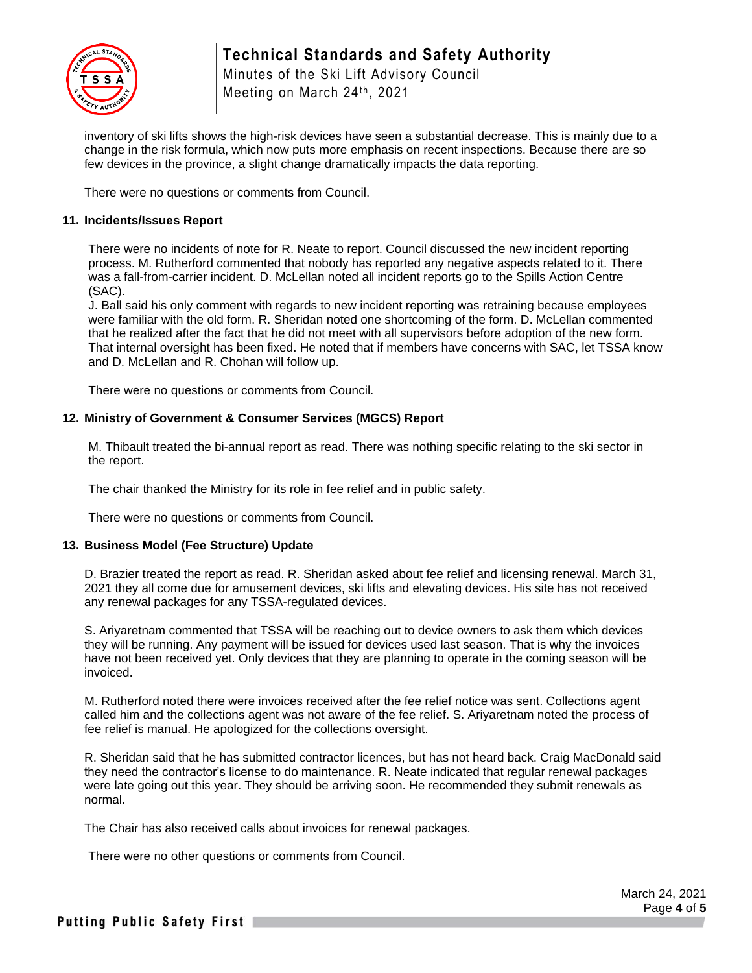

Minutes of the Ski Lift Advisory Council Meeting on March 24<sup>th</sup>, 2021

inventory of ski lifts shows the high-risk devices have seen a substantial decrease. This is mainly due to a change in the risk formula, which now puts more emphasis on recent inspections. Because there are so few devices in the province, a slight change dramatically impacts the data reporting.

There were no questions or comments from Council.

## **11. Incidents/Issues Report**

There were no incidents of note for R. Neate to report. Council discussed the new incident reporting process. M. Rutherford commented that nobody has reported any negative aspects related to it. There was a fall-from-carrier incident. D. McLellan noted all incident reports go to the Spills Action Centre (SAC).

J. Ball said his only comment with regards to new incident reporting was retraining because employees were familiar with the old form. R. Sheridan noted one shortcoming of the form. D. McLellan commented that he realized after the fact that he did not meet with all supervisors before adoption of the new form. That internal oversight has been fixed. He noted that if members have concerns with SAC, let TSSA know and D. McLellan and R. Chohan will follow up.

There were no questions or comments from Council.

## **12. Ministry of Government & Consumer Services (MGCS) Report**

M. Thibault treated the bi-annual report as read. There was nothing specific relating to the ski sector in the report.

The chair thanked the Ministry for its role in fee relief and in public safety.

There were no questions or comments from Council.

#### **13. Business Model (Fee Structure) Update**

D. Brazier treated the report as read. R. Sheridan asked about fee relief and licensing renewal. March 31, 2021 they all come due for amusement devices, ski lifts and elevating devices. His site has not received any renewal packages for any TSSA-regulated devices.

S. Ariyaretnam commented that TSSA will be reaching out to device owners to ask them which devices they will be running. Any payment will be issued for devices used last season. That is why the invoices have not been received yet. Only devices that they are planning to operate in the coming season will be invoiced.

M. Rutherford noted there were invoices received after the fee relief notice was sent. Collections agent called him and the collections agent was not aware of the fee relief. S. Ariyaretnam noted the process of fee relief is manual. He apologized for the collections oversight.

R. Sheridan said that he has submitted contractor licences, but has not heard back. Craig MacDonald said they need the contractor's license to do maintenance. R. Neate indicated that regular renewal packages were late going out this year. They should be arriving soon. He recommended they submit renewals as normal.

The Chair has also received calls about invoices for renewal packages.

There were no other questions or comments from Council.